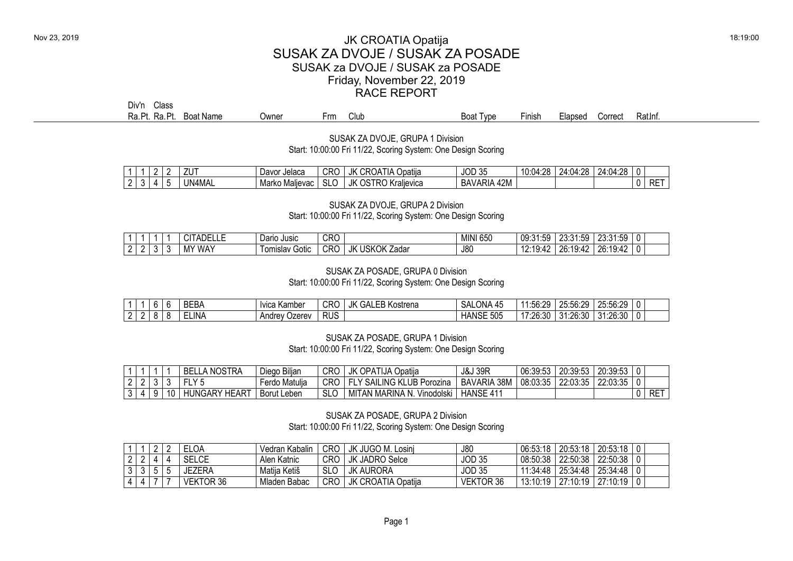## Nov 23, 2019 **18:19:00** JK CROATIA Opatija SUSAK ZA DVOJE / SUSAK ZA POSADE SUSAK za DVOJE / SUSAK za POSADE Friday, November 22, 2019 RACE REPORT

Div'n Class<br>Ra.Pt. Ra.Pt

|  | Ra.Pt.<br>D+ .<br>Ra | <b>Boat Name</b> | <b>Jwner</b> | - -<br>Club<br>·rm | Boat<br>l vpe | ·inish | :lapsed | Correct | Ratini. |
|--|----------------------|------------------|--------------|--------------------|---------------|--------|---------|---------|---------|
|--|----------------------|------------------|--------------|--------------------|---------------|--------|---------|---------|---------|

SUSAK ZA DVOJE, GRUPA 1 Division Start: 10:00:00 Fri 11/22, Scoring System: One Design Scoring

|  |  | .<br>ΖU | Davor<br><sup>.</sup> Jelaca | <b>CRC</b> | JK<br>$\sim$<br>CR(<br>1 I A<br>Opatııa<br>JA | <b>JOD 35</b>                                                          | ۰۷۵<br>$\sim$<br>. ∟∪.<br>. | ۰۷۵<br>וי ו/ נ'<br>∵04، م<br>. | ۰۷۵<br>24.0<br>$\cdot$ . $0^{\mu}$<br>1.LU |                  |
|--|--|---------|------------------------------|------------|-----------------------------------------------|------------------------------------------------------------------------|-----------------------------|--------------------------------|--------------------------------------------|------------------|
|  |  | '4MAL   | Marko<br>llevac<br>Mal       | ົ<br>ง∟∪   | JK<br>.<br>Kralievica<br>və<br>טו             | $\Delta$ 2 $M$<br>$\mathcal{A}$ Api $\mathcal{A}$<br>BA<br>ARIA<br>᠇᠘w |                             |                                |                                            | <br>$.$ DET<br>ங |

SUSAK ZA DVOJE, GRUPA 2 Division Start: 10:00:00 Fri 11/22, Scoring System: One Design Scoring

|               |     | <sup>~</sup> TADELLL | Dario Jusic              | CRC |                     | <b>MINI 650</b> | $\sim$ $\sim$<br>$\sim$<br>nu i<br>ה היהי<br>∪∪.∪<br>∪ שי | ົ<br>$ \sim$<br>, , ,<br>ה הי<br>ن ن.<br>20. U I | າາ.າ<br>$-2$<br>ำได้เ<br>∠ບ.ບ<br>ن ب.                  | . . |  |
|---------------|-----|----------------------|--------------------------|-----|---------------------|-----------------|-----------------------------------------------------------|--------------------------------------------------|--------------------------------------------------------|-----|--|
| ⌒<br><u>.</u> | . . | Y WAY<br>ΙVΙ         | .<br>om<br>Gotic<br>ilav | CRC | JK USKOK Z<br>∠adar | J80             | $\mathbf{u} \cdot \mathbf{v}$<br>$\overline{\phantom{a}}$ | $.94^{\circ}$<br>nn<br>ノド・^<br>٠υ.               | 0.10<br>$\sim$<br>Zb.<br>.<br>$\overline{\phantom{a}}$ |     |  |

## SUSAK ZA POSADE, GRUPA 0 Division

Start: 10:00:00 Fri 11/22, Scoring System: One Design Scoring

|     | 'n<br>u | <b>BEBA</b> | Tvica Kamber     | CRO        | JK GA'<br>EB Kostrena<br>≒ALI | <b>ONA</b><br>SAL<br>. 45 | 56.20<br>1:56:25 | つに・56・つの<br>$\sim$<br>LU.UU.LU | 25.56.29<br>ZJ.JU.ZJ |  |
|-----|---------|-------------|------------------|------------|-------------------------------|---------------------------|------------------|--------------------------------|----------------------|--|
| . . | o       | ELINA       | Andrev<br>Ozerev | <b>RUS</b> |                               | <b>HANSE</b><br>505       | 17:26:30         | 31:26:30                       | 31:26:30             |  |

SUSAK ZA POSADE, GRUPA 1 Division Start: 10:00:00 Fri 11/22, Scoring System: One Design Scoring

|  |  | <b>BELLA NOSTRA</b>  | Diego Biljan       | CRO        | JK OPATIJA<br>. Opatiia         | <b>J&amp;J 39F</b>    | 06:39:53 | 20:39:53 | 20:39:53 |     |
|--|--|----------------------|--------------------|------------|---------------------------------|-----------------------|----------|----------|----------|-----|
|  |  | F1V5<br>ᄓ            | Ferdo Matulja      | CRO        | LY SAILING KLUB Porozina        | 38M<br><b>BAVARIA</b> | 08:03:35 | 22:03:35 | 22:03:35 |     |
|  |  | <b>HUNGARY HEART</b> | <b>Borut Leben</b> | <b>SLC</b> | MITAN MARINA N.<br>. Vinodolski | <b>HANSE 411</b>      |          |          |          | RET |

SUSAK ZA POSADE, GRUPA 2 Division Start: 10:00:00 Fri 11/22, Scoring System: One Design Scoring

|  |  | ELOA.     | Vedran Kabalin | CRC | JK JUGO M. Losinj     | J80              | 06:53:18 | 20:53:18 | 20:53:18 |  |
|--|--|-----------|----------------|-----|-----------------------|------------------|----------|----------|----------|--|
|  |  | SELCE     | Alen Katnic    | CRC | <b>JK JADRO Selce</b> | <b>JOD 35</b>    | 08:50:38 | 22:50:38 | 22:50:38 |  |
|  |  | JEZERA    | Matija Ketiš   | SLO | JK AURORA             | <b>JOD 35</b>    | 11:34:48 | 25:34:48 | 25:34:48 |  |
|  |  | VEKTOR 36 | Mladen Babac   | CRC | JK CROATIA Opatija    | <b>VEKTOR 36</b> | 13:10:19 | 27:10:19 | 27:10:19 |  |